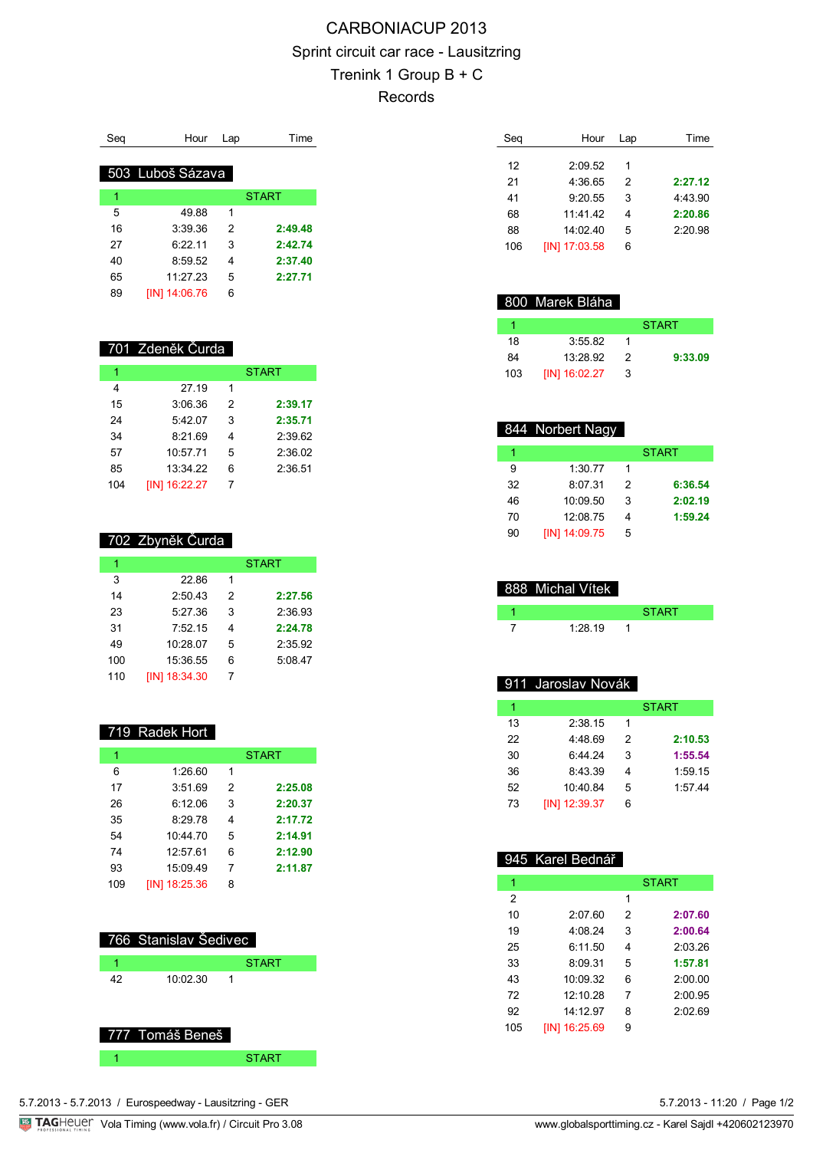## CARBONIACUP 2013 Sprint circuit car race - Lausitzring Trenink 1 Group B + C Records

| Sea | Hour             | Lap | Time         |
|-----|------------------|-----|--------------|
|     | 503 Luboš Sázava |     |              |
| 1   |                  |     | <b>START</b> |
| 5   | 4988             | 1   |              |
| 16  | 3:39.36          | 2   | 2:49.48      |
| 27  | 6.2211           | 3   | 2:42.74      |
| 40  | 8:59.52          | 4   | 2:37.40      |
| 65  | 11:27.23         | 5   | 2:27.71      |
| 89  | [IN] 14:06.76    | 6   |              |

#### 701 Zdeněk Čurda

| 1   |                      |   | <b>START</b> |
|-----|----------------------|---|--------------|
| 4   | 27.19                | 1 |              |
| 15  | 3:06.36              | 2 | 2:39.17      |
| 24  | 5:42.07              | 3 | 2:35.71      |
| 34  | 8:21.69              | 4 | 2:39.62      |
| 57  | 10:57.71             | 5 | 2:36.02      |
| 85  | 13:34.22             | 6 | 2:36.51      |
| 104 | <b>IINI 16:22.27</b> | 7 |              |

#### 702 Zbyněk Čurda

| 1   |                      |   | <b>START</b> |
|-----|----------------------|---|--------------|
| 3   | 22.86                | 1 |              |
| 14  | 2:50.43              | 2 | 2:27.56      |
| 23  | 5:27.36              | 3 | 2:36.93      |
| 31  | 7:52.15              | 4 | 2:24.78      |
| 49  | 10:28.07             | 5 | 2:35.92      |
| 100 | 15:36.55             | 6 | 5:08.47      |
| 110 | <b>IIN1 18:34.30</b> | 7 |              |

#### 719 Radek Hort

| 1   |               |   | <b>START</b> |
|-----|---------------|---|--------------|
| 6   | 1:26.60       | 1 |              |
| 17  | 3:51.69       | 2 | 2:25.08      |
| 26  | 6:12.06       | 3 | 2:20.37      |
| 35  | 8:29.78       | 4 | 2:17.72      |
| 54  | 10:44.70      | 5 | 2:14.91      |
| 74  | 12:57.61      | 6 | 2:12.90      |
| 93  | 15:09.49      | 7 | 2:11.87      |
| 109 | [IN] 18:25.36 | 8 |              |

# 766 Stanislav Šedivec 1 START START 10:02.30 1

### 777 Tomáš Beneš 1 START

| Seg | Hour          | Lap | Time    |
|-----|---------------|-----|---------|
|     |               |     |         |
| 12  | 2:09.52       | 1   |         |
| 21  | 4:36.65       | 2   | 2:27.12 |
| 41  | 9:20.55       | 3   | 4:43.90 |
| 68  | 11.41.42      | 4   | 2:20.86 |
| 88  | 14.0240       | 5   | 2:20.98 |
| 106 | [IN] 17:03.58 | 6   |         |

## 800 Marek Bláha

|     |                 |   | <b>START</b> |
|-----|-----------------|---|--------------|
| 18  | 3:55.82         |   |              |
| 84  | 13.2892         | 2 | 9:33.09      |
| 103 | $[IN]$ 16:02.27 | 3 |              |

## 844 Norbert Nagy

|    |               |   | <b>START</b> |
|----|---------------|---|--------------|
| 9  | 1:30.77       |   |              |
| 32 | 8:07.31       | 2 | 6:36.54      |
| 46 | 10:09.50      | 3 | 2:02.19      |
| 70 | 12:08.75      | Δ | 1:59.24      |
| 90 | [IN] 14:09.75 | 5 |              |

| 888 Michal Vítek |              |
|------------------|--------------|
|                  | <b>START</b> |
| 1.2819           |              |

## 911 Jaroslav Novák

| 1  |               |   | <b>START</b> |
|----|---------------|---|--------------|
| 13 | 2:38.15       | 1 |              |
| 22 | 4:48.69       | 2 | 2:10.53      |
| 30 | 6.4424        | 3 | 1:55.54      |
| 36 | 8:43.39       | 4 | 1:59.15      |
| 52 | 10:40.84      | 5 | 1:57.44      |
| 73 | [IN] 12:39.37 | 6 |              |

## 945 Karel Bednář

| 1   |               |   | <b>START</b> |
|-----|---------------|---|--------------|
| 2   |               | 1 |              |
| 10  | 2:07.60       | 2 | 2:07.60      |
| 19  | 4:08.24       | 3 | 2:00.64      |
| 25  | 6:11.50       | 4 | 2:03.26      |
| 33  | 8:09.31       | 5 | 1:57.81      |
| 43  | 10:09.32      | 6 | 2:00.00      |
| 72  | 12:10.28      | 7 | 2:00.95      |
| 92  | 14.1297       | 8 | 2.0269       |
| 105 | [IN] 16:25.69 | 9 |              |

5.7.2013 - 11:20 / Page 1/2